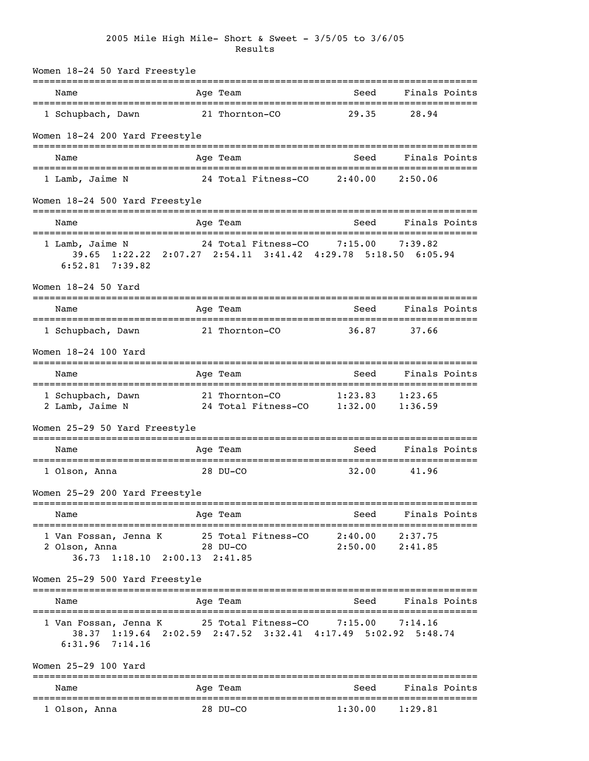| Women 18-24 50 Yard Freestyle                                                                                 |                                               |                                         |                    |  |
|---------------------------------------------------------------------------------------------------------------|-----------------------------------------------|-----------------------------------------|--------------------|--|
| Name                                                                                                          | Age Team                                      | Seed                                    | Finals Points      |  |
| 1 Schupbach, Dawn                                                                                             | 21 Thornton-CO                                | 29.35                                   | 28.94              |  |
| Women 18-24 200 Yard Freestyle                                                                                |                                               |                                         |                    |  |
| Name                                                                                                          | Age Team                                      | Seed                                    | Finals Points      |  |
| 1 Lamb, Jaime N                                                                                               | 24 Total Fitness-CO                           | 2:40.00                                 | 2:50.06            |  |
| Women 18-24 500 Yard Freestyle                                                                                |                                               |                                         |                    |  |
| Name                                                                                                          | Age Team                                      | Seed                                    | Finals Points      |  |
| 1 Lamb, Jaime N<br>39.65 1:22.22 2:07.27 2:54.11 3:41.42 4:29.78 5:18.50 6:05.94<br>$6:52.81$ $7:39.82$       | 24 Total Fitness-CO 7:15.00                   |                                         | 7:39.82            |  |
| Women 18-24 50 Yard                                                                                           |                                               |                                         |                    |  |
| Name                                                                                                          | Age Team                                      | Seed                                    | Finals Points      |  |
| 1 Schupbach, Dawn                                                                                             | 21 Thornton-CO                                | 36.87                                   | 37.66              |  |
| Women 18-24 100 Yard                                                                                          |                                               |                                         |                    |  |
| Name                                                                                                          | Age Team                                      | Seed                                    | Finals Points      |  |
| 1 Schupbach, Dawn<br>2 Lamb, Jaime N                                                                          | 21 Thornton-CO<br>24 Total Fitness-CO 1:32.00 | 1:23.83                                 | 1:23.65<br>1:36.59 |  |
| Women 25-29 50 Yard Freestyle                                                                                 |                                               |                                         |                    |  |
| Name                                                                                                          | Age Team                                      | Seed                                    | Finals Points      |  |
| 1 Olson, Anna                                                                                                 | 28 DU-CO                                      | 32.00                                   | 41.96              |  |
| Women 25-29 200 Yard Freestyle                                                                                |                                               |                                         |                    |  |
| Name                                                                                                          | Age Team                                      | Seed                                    | Finals Points      |  |
| 1 Van Fossan, Jenna K 25 Total Fitness-CO 2:40.00<br>2 Olson, Anna 28 DU-CO<br>36.73 1:18.10 2:00.13 2:41.85  |                                               | 2:50.00                                 | 2:37.75<br>2:41.85 |  |
| Women 25-29 500 Yard Freestyle                                                                                |                                               |                                         |                    |  |
| Name                                                                                                          | Age Team                                      | Seed                                    | Finals Points      |  |
| 1 Van Fossan, Jenna K<br>38.37 1:19.64 2:02.59 2:47.52 3:32.41 4:17.49 5:02.92 5:48.74<br>$6:31.96$ $7:14.16$ | 25 Total Fitness-CO                           | 7:15.00                                 | 7:14.16            |  |
| Women 25-29 100 Yard                                                                                          |                                               |                                         |                    |  |
| Name                                                                                                          | Age Team                                      | Seed                                    | Finals Points      |  |
| 1 Olson, Anna                                                                                                 | 28 DU-CO                                      | ============================<br>1:30.00 | 1:29.81            |  |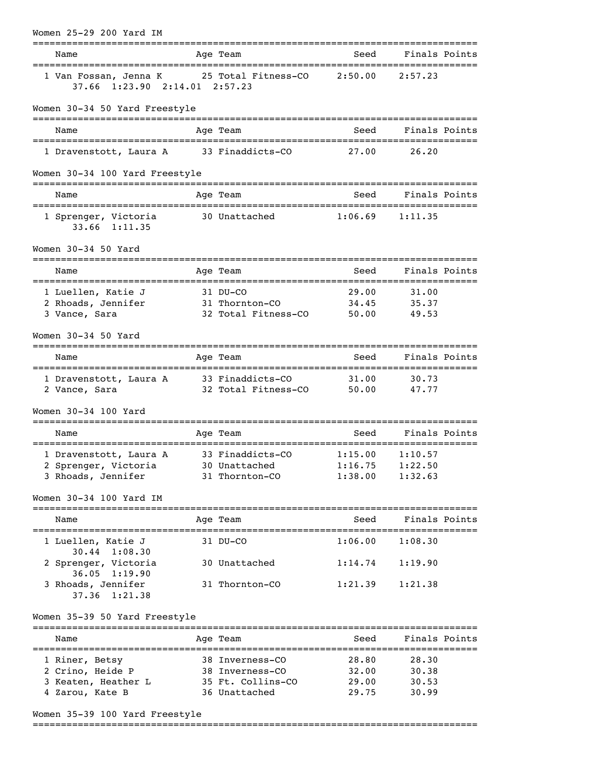| Women 25-29 200 Yard IM                                                            |                                       |                                    |                    |  |
|------------------------------------------------------------------------------------|---------------------------------------|------------------------------------|--------------------|--|
| Name                                                                               | Age Team                              | Seed                               | Finals Points      |  |
| 1 Van Fossan, Jenna K 25 Total Fitness-CO 2:50.00<br>37.66 1:23.90 2:14.01 2:57.23 |                                       |                                    | 2:57.23            |  |
| Women 30-34 50 Yard Freestyle                                                      | ======================                | .================================= |                    |  |
| Name                                                                               | Age Team                              | Seed                               | Finals Points      |  |
| 1 Dravenstott, Laura A                                                             | 33 Finaddicts-CO 27.00                |                                    | 26.20              |  |
| Women 30-34 100 Yard Freestyle                                                     |                                       |                                    |                    |  |
| Name                                                                               | Age Team                              | Seed                               | Finals Points      |  |
| 1 Sprenger, Victoria<br>33.66 1:11.35                                              | 30 Unattached                         | 1:06.69                            | 1:11.35            |  |
| Women 30-34 50 Yard                                                                |                                       |                                    |                    |  |
| Name<br>=====================================                                      | Age Team                              | Seed                               | Finals Points      |  |
| 1 Luellen, Katie J                                                                 | 31 DU-CO                              | 29.00                              | 31.00              |  |
| 2 Rhoads, Jennifer<br>3 Vance, Sara                                                | 31 Thornton-CO<br>32 Total Fitness-CO | 34.45<br>50.00                     | 35.37<br>49.53     |  |
|                                                                                    |                                       |                                    |                    |  |
| Women 30-34 50 Yard                                                                |                                       |                                    |                    |  |
| Name                                                                               | Age Team                              | Seed                               | Finals Points      |  |
| 1 Dravenstott, Laura A                                                             | 33 Finaddicts-CO 31.00                |                                    | 30.73              |  |
| 2 Vance, Sara                                                                      | 32 Total Fitness-CO 50.00             |                                    | 47.77              |  |
| Women 30-34 100 Yard                                                               |                                       |                                    |                    |  |
| Name                                                                               | Age Team                              | Seed                               | Finals Points      |  |
| 1 Dravenstott, Laura A 33 Finaddicts-CO 1:15.00 1:10.57                            |                                       |                                    |                    |  |
| 2 Sprenger, Victoria<br>3 Rhoads, Jennifer                                         | 30 Unattached<br>31 Thornton-CO       | 1:16.75<br>1:38.00                 | 1:22.50<br>1:32.63 |  |
| Women 30-34 100 Yard IM                                                            |                                       |                                    |                    |  |
|                                                                                    |                                       |                                    |                    |  |
| Name                                                                               | Age Team                              | Seed                               | Finals Points      |  |
| 1 Luellen, Katie J                                                                 | 31 DU-CO                              | $1:06.00$ $1:08.30$                |                    |  |
| 30.44 1:08.30<br>2 Sprenger, Victoria                                              | 30 Unattached                         | 1:14.74                            | 1:19.90            |  |
| $36.05$ 1:19.90<br>3 Rhoads, Jennifer<br>37.36 1:21.38                             | 31 Thornton-CO                        | 1:21.39                            | 1:21.38            |  |
| Women 35-39 50 Yard Freestyle                                                      |                                       |                                    |                    |  |
| Name                                                                               | Age Team                              | Seed                               | Finals Points      |  |
| 1 Riner, Betsy                                                                     | 38 Inverness-CO                       | 28.80                              | 28.30              |  |
| 2 Crino, Heide P                                                                   | 38 Inverness-CO                       | 32.00                              | 30.38              |  |
| 3 Keaten, Heather L<br>4 Zarou, Kate B                                             | 35 Ft. Collins-CO<br>36 Unattached    | 29.00<br>29.75                     | 30.53<br>30.99     |  |
|                                                                                    |                                       |                                    |                    |  |

## Women 35-39 100 Yard Freestyle

===============================================================================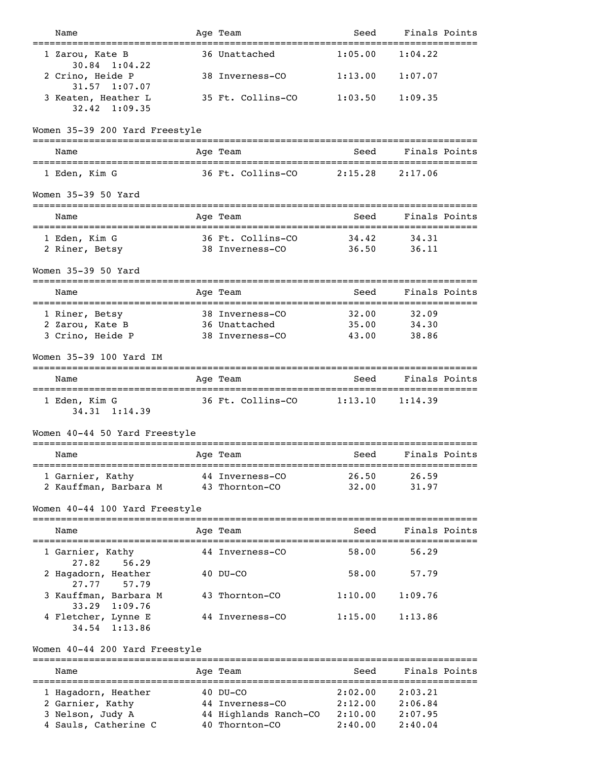| Name                                         | Age Team                                | Seed               | Finals Points                                |
|----------------------------------------------|-----------------------------------------|--------------------|----------------------------------------------|
| 1 Zarou, Kate B<br>$30.84$ 1:04.22           | 36 Unattached                           | 1:05.00            | 1:04.22                                      |
| 2 Crino, Heide P<br>31.57<br>1:07.07         | 38 Inverness-CO                         | 1:13.00            | 1:07.07                                      |
| 3 Keaten, Heather L<br>$32.42 \quad 1:09.35$ | 35 Ft. Collins-CO                       | 1:03.50            | 1:09.35                                      |
| Women 35-39 200 Yard Freestyle               |                                         |                    |                                              |
| Name                                         | Age Team                                | Seed               | Finals Points                                |
| 1 Eden, Kim G                                | 36 Ft. Collins-CO                       | 2:15.28            | 2:17.06                                      |
| Women 35-39 50 Yard                          |                                         |                    | ---------------------------------            |
| Name<br>:===========================         | Age Team<br>-------------               | Seed               | Finals Points<br>--------------------------- |
| 1 Eden, Kim G                                | 36 Ft. Collins-CO                       | 34.42              | 34.31                                        |
| 2 Riner, Betsy                               | 38 Inverness-CO                         | 36.50              | 36.11                                        |
| Women 35-39 50 Yard                          |                                         |                    |                                              |
| Name                                         | Age Team                                | Seed               | Finals Points                                |
| 1 Riner, Betsy                               | 38 Inverness-CO                         | 32.00              | 32.09                                        |
| 2 Zarou, Kate B                              | 36 Unattached                           | 35.00<br>43.00     | 34.30<br>38.86                               |
| 3 Crino, Heide P                             | 38 Inverness-CO                         |                    |                                              |
| Women 35-39 100 Yard IM                      |                                         |                    |                                              |
| Name<br>=================================    | Age Team                                | Seed<br>========== | Finals Points<br>==========                  |
| 1 Eden, Kim G<br>34.31 1:14.39               | 36 Ft. Collins-CO                       | 1:13.10            | 1:14.39                                      |
| Women 40-44 50 Yard Freestyle                |                                         |                    |                                              |
| --------------------<br>Name                 | Age Team                                | Seed               | Finals Points                                |
| 1 Garnier, Kathy                             | 44 Inverness-CO                         | 26.50              | 26.59                                        |
| 2 Kauffman, Barbara M                        | 43 Thornton-CO                          | 32.00              | 31.97                                        |
| Women 40-44 100 Yard Freestyle               |                                         |                    |                                              |
| Name                                         | Age Team                                | Seed               | Finals Points                                |
| 1 Garnier, Kathy<br>56.29<br>27.82           | 44 Inverness-CO                         | 58.00              | 56.29                                        |
| 2 Hagadorn, Heather<br>27.77<br>57.79        | $40$ DU-CO                              | 58.00              | 57.79                                        |
| 3 Kauffman, Barbara M<br>33.29<br>1:09.76    | 43 Thornton-CO                          | 1:10.00            | 1:09.76                                      |
| 4 Fletcher, Lynne E<br>1:13.86<br>34.54      | 44 Inverness-CO                         | 1:15.00            | 1:13.86                                      |
| Women 40-44 200 Yard Freestyle               |                                         |                    |                                              |
| Name                                         | Age Team                                | Seed               | Finals Points                                |
| 1 Hagadorn, Heather                          | $40$ DU-CO                              | 2:02.00            | 2:03.21                                      |
| 2 Garnier, Kathy                             | 44 Inverness-CO                         | 2:12.00            | 2:06.84                                      |
| 3 Nelson, Judy A<br>4 Sauls, Catherine C     | 44 Highlands Ranch-CO<br>40 Thornton-CO | 2:10.00<br>2:40.00 | 2:07.95<br>2:40.04                           |
|                                              |                                         |                    |                                              |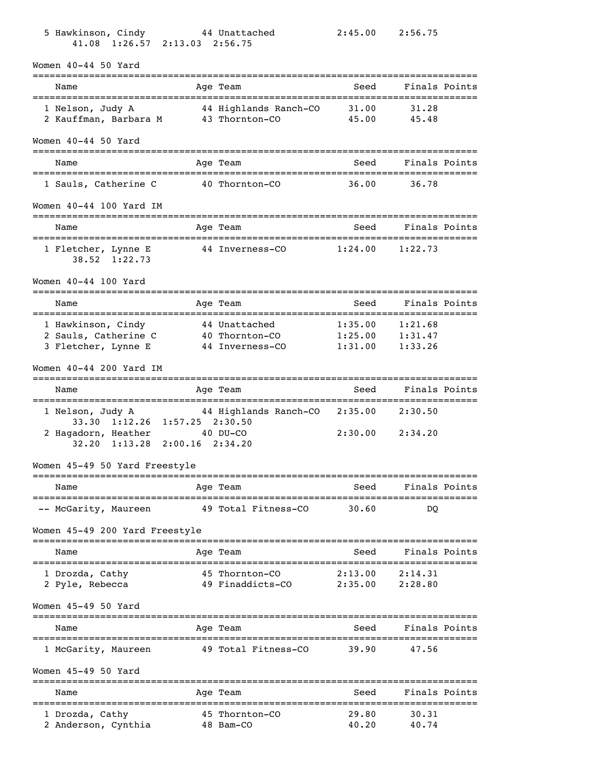| 5 Hawkinson, Cindy<br>41.08 1:26.57 2:13.03 2:56.75 | 44 Unattached                           | 2:45.00            | 2:56.75                   |  |
|-----------------------------------------------------|-----------------------------------------|--------------------|---------------------------|--|
| Women $40-44$ 50 Yard                               |                                         |                    |                           |  |
| =================<br>Name                           | Age Team                                | Seed               | Finals Points<br>======== |  |
| 1 Nelson, Judy A<br>2 Kauffman, Barbara M           | 44 Highlands Ranch-CO<br>43 Thornton-CO | 31.00<br>45.00     | 31.28<br>45.48            |  |
| Women $40-44$ 50 Yard                               |                                         |                    |                           |  |
| Name                                                | Age Team                                | Seed               | Finals Points             |  |
| 1 Sauls, Catherine C                                | 40 Thornton-CO                          | 36.00              | 36.78                     |  |
| Women 40-44 100 Yard IM                             |                                         |                    |                           |  |
| Name                                                | Age Team                                | Seed               | Finals Points             |  |
| 1 Fletcher, Lynne E<br>$38.52 \quad 1:22.73$        | 44 Inverness-CO                         | 1:24.00            | 1:22.73                   |  |
| Women 40-44 100 Yard                                |                                         |                    |                           |  |
| Name                                                | Age Team                                | Seed               | Finals Points             |  |
| 1 Hawkinson, Cindy                                  | 44 Unattached                           | 1:35.00            | 1:21.68                   |  |
| 2 Sauls, Catherine C                                | 40 Thornton-CO                          | 1:25.00            | 1:31.47                   |  |
| 3 Fletcher, Lynne E                                 | 44 Inverness-CO                         | 1:31.00            | 1:33.26                   |  |
| Women 40-44 200 Yard IM                             |                                         |                    |                           |  |
| Name                                                | Age Team                                | Seed               | Finals Points             |  |
| 1 Nelson, Judy A<br>33.30 1:12.26 1:57.25 2:30.50   | 44 Highlands Ranch-CO 2:35.00           |                    | 2:30.50                   |  |
| 2 Hagadorn, Heather<br>$32.20 \quad 1:13.28$        | $40$ DU-CO<br>$2:00.16$ $2:34.20$       | 2:30.00            | 2:34.20                   |  |
| Women 45-49 50 Yard Freestyle                       |                                         |                    |                           |  |
| Name                                                | Age Team                                | Seed               | Finals Points             |  |
| -- McGarity, Maureen                                | 49 Total Fitness-CO                     | 30.60              | DO                        |  |
| Women 45-49 200 Yard Freestyle                      |                                         |                    |                           |  |
| Name                                                | -------<br>Age Team                     | Seed               | Finals Points             |  |
|                                                     |                                         |                    |                           |  |
| 1 Drozda, Cathy<br>2 Pyle, Rebecca                  | 45 Thornton-CO<br>49 Finaddicts-CO      | 2:13.00<br>2:35.00 | 2:14.31<br>2:28.80        |  |
| Women 45-49 50 Yard                                 |                                         |                    |                           |  |
| Name                                                | Age Team                                | Seed               | Finals Points             |  |
| 1 McGarity, Maureen                                 | 49 Total Fitness-CO                     | 39.90              | 47.56                     |  |
| Women 45-49 50 Yard                                 |                                         |                    |                           |  |
| Name                                                | Age Team                                | Seed               | Finals Points             |  |
| 1 Drozda, Cathy                                     | 45 Thornton-CO                          | 29.80              | -----------<br>30.31      |  |
| 2 Anderson, Cynthia                                 | 48 Bam-CO                               | 40.20              | 40.74                     |  |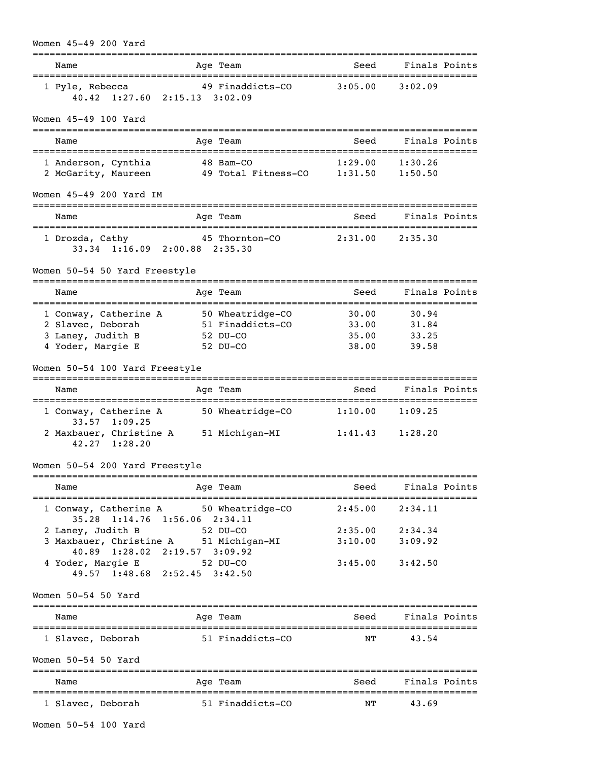| Women 45-49 200 Yard<br>------------------                                                                                                                           |                                                              |                                  |                                                               |  |
|----------------------------------------------------------------------------------------------------------------------------------------------------------------------|--------------------------------------------------------------|----------------------------------|---------------------------------------------------------------|--|
| Name                                                                                                                                                                 | Age Team                                                     | Seed                             | Finals Points                                                 |  |
| 1 Pyle, Rebecca<br>40.42 1:27.60 2:15.13 3:02.09                                                                                                                     | 49 Finaddicts-CO 3:05.00                                     |                                  | 3:02.09                                                       |  |
| Women 45-49 100 Yard                                                                                                                                                 |                                                              |                                  |                                                               |  |
| Name                                                                                                                                                                 | Age Team                                                     | Seed                             | Finals Points                                                 |  |
| 1 Anderson, Cynthia<br>2 McGarity, Maureen                                                                                                                           | 48 Bam-CO<br>49 Total Fitness-CO    1:31.50                  | 1:29.00                          | 1:30.26<br>1:50.50                                            |  |
| Women 45-49 200 Yard IM                                                                                                                                              |                                                              |                                  |                                                               |  |
| Name                                                                                                                                                                 | Age Team                                                     | Seed                             | Finals Points                                                 |  |
| 1 Drozda, Cathy<br>33.34 1:16.09 2:00.88 2:35.30                                                                                                                     | 45 Thornton-CO                                               | 2:31.00                          | 2:35.30                                                       |  |
| Women 50-54 50 Yard Freestyle                                                                                                                                        |                                                              |                                  |                                                               |  |
| Name                                                                                                                                                                 | Age Team                                                     | Seed                             | Finals Points                                                 |  |
| 1 Conway, Catherine A<br>2 Slavec, Deborah<br>3 Laney, Judith B<br>4 Yoder, Margie E                                                                                 | 50 Wheatridge-CO<br>51 Finaddicts-CO<br>52 DU-CO<br>52 DU-CO | 30.00<br>33.00<br>35.00<br>38.00 | 30.94<br>31.84<br>33.25<br>39.58                              |  |
| Women 50-54 100 Yard Freestyle                                                                                                                                       |                                                              |                                  |                                                               |  |
| Name                                                                                                                                                                 | Age Team                                                     | Seed                             | Finals Points                                                 |  |
| 1 Conway, Catherine A<br>33.57 1:09.25<br>2 Maxbauer, Christine A<br>$42.27$ $1:28.20$                                                                               | 50 Wheatridge-CO<br>51 Michigan-MI                           | 1:10.00                          | 1:09.25<br>$1:41.43$ $1:28.20$                                |  |
| Women 50-54 200 Yard Freestyle                                                                                                                                       |                                                              |                                  |                                                               |  |
| Name                                                                                                                                                                 | Age Team                                                     |                                  | Seed Finals Points                                            |  |
|                                                                                                                                                                      | 1 Conway, Catherine A 50 Wheatridge-CO 2:45.00 2:34.11       |                                  |                                                               |  |
| 35.28 1:14.76 1:56.06 2:34.11<br>2 Laney, Judith B 52 DU-CO<br>3 Maxbauer, Christine A 51 Michigan-MI<br>40.89 1:28.02 2:19.57 3:09.92<br>4 Yoder, Margie E 52 DU-CO |                                                              |                                  | 2:35.00 2:34.34<br>$3:10.00$ $3:09.92$<br>$3:45.00$ $3:42.50$ |  |
| 49.57 1:48.68 2:52.45 3:42.50                                                                                                                                        |                                                              |                                  |                                                               |  |
| Women 50-54 50 Yard                                                                                                                                                  |                                                              |                                  |                                                               |  |
| Name                                                                                                                                                                 | Age Team                                                     | Seed Finals Points               |                                                               |  |
| 1 Slavec, Deborah 51 Finaddicts-CO<br>Women 50-54 50 Yard                                                                                                            |                                                              |                                  | NT 43.54                                                      |  |
| Name                                                                                                                                                                 | Age Team                                                     |                                  | Seed Finals Points                                            |  |
|                                                                                                                                                                      | 1 Slavec, Deborah 51 Finaddicts-CO NT 43.69                  |                                  |                                                               |  |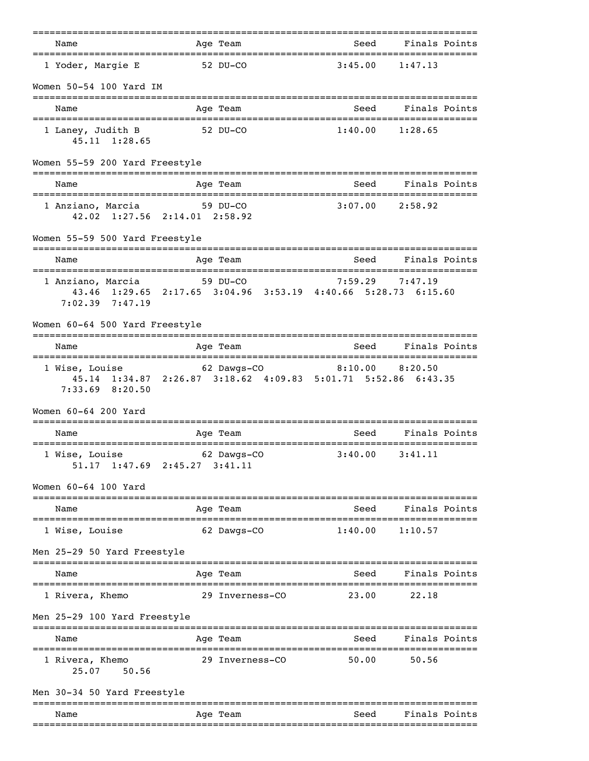|                                            | =======================                                                                     |                | ===================================== |
|--------------------------------------------|---------------------------------------------------------------------------------------------|----------------|---------------------------------------|
| Name<br>=================================  | Age Team                                                                                    |                | Seed Finals Points                    |
| 1 Yoder, Margie E                          | 52 DU-CO                                                                                    | 3:45.00        | 1:47.13                               |
| Women 50-54 100 Yard IM                    |                                                                                             |                |                                       |
| Name                                       | Age Team                                                                                    | Seed           | Finals Points                         |
| 1 Laney, Judith B<br>$45.11 \quad 1:28.65$ | 52 DU-CO                                                                                    |                | $1:40.00$ $1:28.65$                   |
| Women 55-59 200 Yard Freestyle             |                                                                                             |                |                                       |
| Name                                       | Age Team                                                                                    | Seed           | Finals Points                         |
| 1 Anziano, Marcia                          | 59 DU-CO<br>42.02 1:27.56 2:14.01 2:58.92                                                   | 3:07.00        | 2:58.92                               |
| Women 55-59 500 Yard Freestyle             | ==========                                                                                  |                |                                       |
| Name                                       | Age Team                                                                                    | Seed           | Finals Points                         |
| $7:02.39$ $7:47.19$                        | 1 Anziano, Marcia 59 DU-CO<br>43.46 1:29.65 2:17.65 3:04.96 3:53.19 4:40.66 5:28.73 6:15.60 | 7:59.29        | 7:47.19                               |
| Women 60-64 500 Yard Freestyle             |                                                                                             |                |                                       |
| Name                                       | Age Team                                                                                    | Seed           | Finals Points                         |
| 1 Wise, Louise<br>7:33.69 8:20.50          | 62 Dawgs-CO<br>45.14 1:34.87 2:26.87 3:18.62 4:09.83 5:01.71 5:52.86 6:43.35                |                | $8:10.00$ $8:20.50$                   |
| Women 60-64 200 Yard                       |                                                                                             |                |                                       |
| Name                                       | Age Team                                                                                    | Seed           | Finals Points                         |
| 1 Wise, Louise                             | 62 Dawgs-CO<br>51.17 1:47.69 2:45.27 3:41.11                                                | 3:40.00        | 3:41.11                               |
| Women 60-64 100 Yard                       |                                                                                             | -------------- |                                       |
| Name                                       | Age Team                                                                                    | Seed           | Finals Points                         |
| 1 Wise, Louise                             | 62 Dawgs-CO                                                                                 | 1:40.00        | 1:10.57                               |
| Men 25-29 50 Yard Freestyle                |                                                                                             |                |                                       |
| Name                                       | Age Team                                                                                    | Seed           | Finals Points                         |
| 1 Rivera, Khemo                            | 29 Inverness-CO                                                                             | 23.00          | 22.18                                 |
| Men 25-29 100 Yard Freestyle               |                                                                                             |                |                                       |
| Name                                       | Age Team                                                                                    | Seed           | Finals Points                         |
| 1 Rivera, Khemo<br>50.56<br>25.07          | 29 Inverness-CO                                                                             | 50.00          | 50.56                                 |
| Men 30-34 50 Yard Freestyle                |                                                                                             |                |                                       |
| Name                                       | Age Team                                                                                    | Seed           | Finals Points                         |
|                                            |                                                                                             |                |                                       |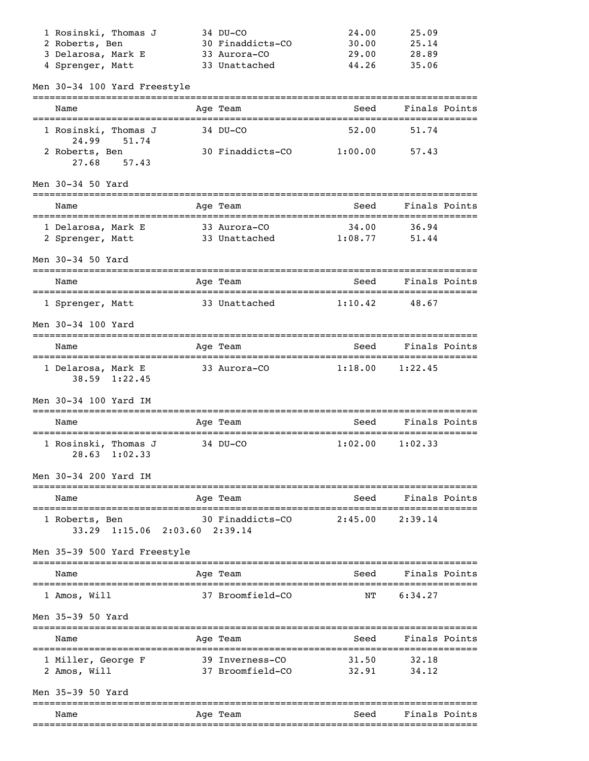| 1 Rosinski, Thomas J                            | 34 DU-CO                            | 24.00            | 25.09          |  |
|-------------------------------------------------|-------------------------------------|------------------|----------------|--|
| 2 Roberts, Ben                                  | 30 Finaddicts-CO                    | 30.00            | 25.14          |  |
| 3 Delarosa, Mark E                              | 33 Aurora-CO                        | 29.00            | 28.89          |  |
| 4 Sprenger, Matt                                | 33 Unattached                       | 44.26            | 35.06          |  |
| Men 30-34 100 Yard Freestyle                    |                                     |                  |                |  |
| Name                                            | Age Team                            | Seed             | Finals Points  |  |
| 1 Rosinski, Thomas J<br>24.99<br>51.74          | 34 DU-CO                            | 52.00            | 51.74          |  |
| 2 Roberts, Ben<br>27.68<br>57.43                | 30 Finaddicts-CO                    | 1:00.00          | 57.43          |  |
| Men 30-34 50 Yard                               |                                     |                  |                |  |
| Name<br>======================================  | Age Team                            | Seed             | Finals Points  |  |
| 1 Delarosa, Mark E<br>2 Sprenger, Matt          | 33 Aurora-CO<br>33 Unattached       | 34.00<br>1:08.77 | 36.94<br>51.44 |  |
| Men 30-34 50 Yard                               |                                     |                  |                |  |
| Name                                            | Age Team                            | Seed             | Finals Points  |  |
| 1 Sprenger, Matt                                | 33 Unattached                       | 1:10.42          | 48.67          |  |
| Men 30-34 100 Yard                              |                                     |                  |                |  |
| Name                                            | Age Team                            | Seed             | Finals Points  |  |
| 1 Delarosa, Mark E<br>38.59 1:22.45             | 33 Aurora-CO                        | 1:18.00          | 1:22.45        |  |
| Men 30-34 100 Yard IM                           |                                     |                  |                |  |
| Name                                            | Age Team                            | Seed             | Finals Points  |  |
| 1 Rosinski, Thomas J<br>28.63<br>1:02.33        | 34 DU-CO                            | 1:02.00          | 1:02.33        |  |
| Men 30-34 200 Yard IM                           |                                     |                  |                |  |
| Name                                            | Age Team                            | Seed             | Finals Points  |  |
| 1 Roberts, Ben<br>33.29 1:15.06 2:03.60 2:39.14 | 30 Finaddicts-CO                    | 2:45.00          | 2:39.14        |  |
| Men 35-39 500 Yard Freestyle                    |                                     |                  |                |  |
| Name                                            | Age Team                            | Seed             | Finals Points  |  |
| 1 Amos, Will                                    | 37 Broomfield-CO                    | ΝT               | 6:34.27        |  |
| Men 35-39 50 Yard                               |                                     |                  |                |  |
| Name<br>====================================    | Age Team                            | Seed             | Finals Points  |  |
| 1 Miller, George F<br>2 Amos, Will              | 39 Inverness-CO<br>37 Broomfield-CO | 31.50<br>32.91   | 32.18<br>34.12 |  |
| Men 35-39 50 Yard                               |                                     |                  |                |  |
| Name                                            | Age Team                            | Seed             | Finals Points  |  |
|                                                 |                                     |                  |                |  |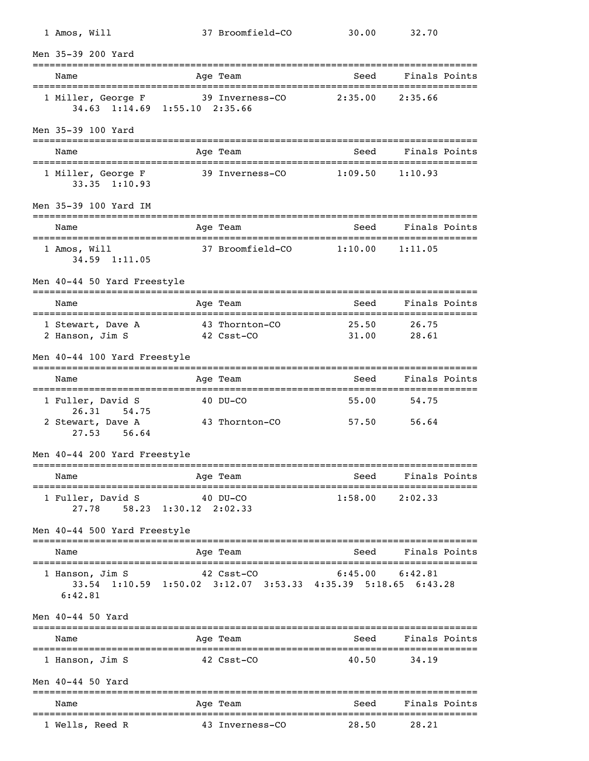| 1 Amos, Will                            | 37 Broomfield-CO                                                                            | 30.00               | 32.70               |
|-----------------------------------------|---------------------------------------------------------------------------------------------|---------------------|---------------------|
| Men 35-39 200 Yard                      |                                                                                             |                     |                     |
| Name                                    | Age Team                                                                                    | Seed                | Finals Points       |
| 1 Miller, George F                      | 39 Inverness-CO<br>34.63 1:14.69 1:55.10 2:35.66                                            | 2:35.00             | 2:35.66             |
| Men 35-39 100 Yard                      |                                                                                             |                     |                     |
| Name                                    | Age Team                                                                                    | Seed                | Finals Points       |
| 1 Miller, George F<br>$33.35$ $1:10.93$ | 39 Inverness-CO                                                                             | $1:09.50$ $1:10.93$ |                     |
| Men 35-39 100 Yard IM                   |                                                                                             |                     |                     |
| Name                                    | Age Team                                                                                    | Seed                | Finals Points       |
| 1 Amos, Will<br>34.59 1:11.05           | 37 Broomfield-CO 1:10.00                                                                    |                     | 1:11.05             |
| Men 40-44 50 Yard Freestyle             | ==============                                                                              |                     |                     |
| Name                                    | Age Team<br>===========                                                                     | Seed                | Finals Points       |
| 1 Stewart, Dave A<br>2 Hanson, Jim S    | 43 Thornton-CO<br>42 Csst-CO                                                                | 25.50<br>31.00      | 26.75<br>28.61      |
| Men 40-44 100 Yard Freestyle            |                                                                                             |                     |                     |
| Name                                    | Age Team                                                                                    | Seed                | Finals Points       |
| 1 Fuller, David S<br>26.31<br>54.75     | 40 DU-CO                                                                                    | 55.00               | 54.75               |
| 2 Stewart, Dave A<br>27.53<br>56.64     | 43 Thornton-CO                                                                              | 57.50               | 56.64               |
| Men 40-44 200 Yard Freestyle            |                                                                                             |                     |                     |
| Name                                    | Age Team                                                                                    |                     | Seed Finals Points  |
| 1 Fuller, David S 40 DU-CO              | 27.78 58.23 1:30.12 2:02.33                                                                 |                     | $1:58.00$ $2:02.33$ |
| Men 40-44 500 Yard Freestyle            |                                                                                             |                     |                     |
| Name                                    | Age Team                                                                                    | Seed                | Finals Points       |
| 1 Hanson, Jim S<br>6:42.81              | 42 Csst-CO 6:45.00 6:42.81<br>33.54 1:10.59 1:50.02 3:12.07 3:53.33 4:35.39 5:18.65 6:43.28 |                     |                     |
| Men 40-44 50 Yard                       |                                                                                             |                     |                     |
| Name                                    | Age Team                                                                                    |                     | Seed Finals Points  |
| 1 Hanson, Jim S                         | 42 Csst-CO                                                                                  | 40.50               | 34.19               |
| Men 40-44 50 Yard                       |                                                                                             |                     |                     |
| Name                                    | Age Team                                                                                    | Seed                | Finals Points       |
| 1 Wells, Reed R                         | 43 Inverness-CO                                                                             | 28.50               | 28.21               |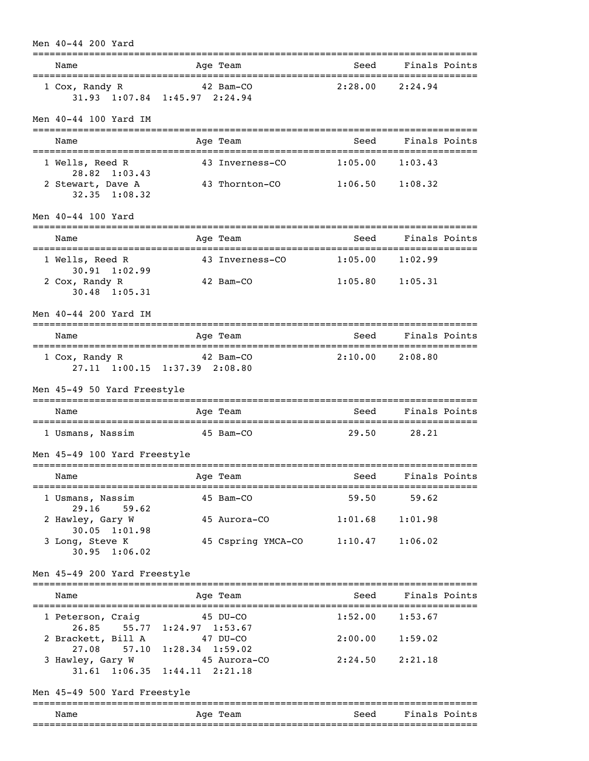| Men 40-44 200 Yard                                               |                                 |                           | :========================== |                     |  |
|------------------------------------------------------------------|---------------------------------|---------------------------|-----------------------------|---------------------|--|
| Name                                                             |                                 | Age Team                  | Seed                        | Finals Points       |  |
| 1 Cox, Randy R<br>31.93 1:07.84 1:45.97 2:24.94                  |                                 | 42 Bam-CO 2:28.00 2:24.94 |                             |                     |  |
| Men 40-44 100 Yard IM                                            |                                 |                           |                             |                     |  |
| Name                                                             |                                 | Age Team                  | Seed                        | Finals Points       |  |
| 1 Wells, Reed R<br>28.82 1:03.43                                 |                                 | 43 Inverness-CO           | $1:05.00$ $1:03.43$         |                     |  |
| 2 Stewart, Dave A<br>32.35 1:08.32                               |                                 | 43 Thornton-CO            | $1:06.50$ $1:08.32$         |                     |  |
| Men 40-44 100 Yard                                               |                                 |                           |                             |                     |  |
| Name                                                             |                                 | Age Team                  |                             | Seed Finals Points  |  |
| 1 Wells, Reed R<br>$30.91$ 1:02.99                               |                                 | 43 Inverness-CO           | $1:05.00$ $1:02.99$         |                     |  |
| 2 Cox, Randy R<br>$30.48$ 1:05.31                                |                                 | 42 Bam-CO                 | $1:05.80$ $1:05.31$         |                     |  |
| Men 40-44 200 Yard IM                                            |                                 |                           |                             |                     |  |
| Name                                                             |                                 | Age Team                  | Seed Finals Points          |                     |  |
| 1 Cox, Randy R 42 Bam-CO<br>27.11 1:00.15 1:37.39 2:08.80        |                                 |                           | $2:10.00$ $2:08.80$         |                     |  |
| Men 45-49 50 Yard Freestyle                                      |                                 |                           |                             |                     |  |
| Name                                                             |                                 | Age Team                  | Seed                        | Finals Points       |  |
| 1 Usmans, Nassim                                                 | 45 Bam-CO                       |                           | 29.50                       | 28.21               |  |
| Men 45-49 100 Yard Freestyle                                     |                                 |                           |                             |                     |  |
| Name                                                             |                                 | Age Team                  | Seed<br>----------------    | Finals Points       |  |
| 1 Usmans, Nassim<br>29.16                                        |                                 | 45 Bam-CO                 | 59.50                       | 59.62               |  |
| 59.62<br>2 Hawley, Gary W                                        |                                 | 45 Aurora-CO              | 1:01.68                     | 1:01.98             |  |
| 30.05 1:01.98<br>3 Long, Steve K<br>$30.95$ 1:06.02              |                                 | 45 Cspring YMCA-CO        | $1:10.47$ $1:06.02$         |                     |  |
| Men 45-49 200 Yard Freestyle                                     |                                 |                           |                             |                     |  |
| Name                                                             |                                 | Age Team                  | Seed                        | Finals Points       |  |
| 1 Peterson, Craig                                                |                                 | 45 DU-CO                  | 1:52.00                     | 1:53.67             |  |
| 26.85 55.77<br>2 Brackett, Bill A                                | $1:24.97$ $1:53.67$<br>47 DU-CO |                           | 2:00.00                     | 1:59.02             |  |
| 27.08 57.10<br>3 Hawley, Gary W<br>31.61 1:06.35 1:44.11 2:21.18 | $1:28.34$ $1:59.02$             | 45 Aurora-CO              |                             | $2:24.50$ $2:21.18$ |  |
| Men 45-49 500 Yard Freestyle                                     |                                 |                           |                             |                     |  |
| Name                                                             |                                 | ==========<br>Age Team    | Seed                        | Finals Points       |  |
|                                                                  |                                 |                           |                             |                     |  |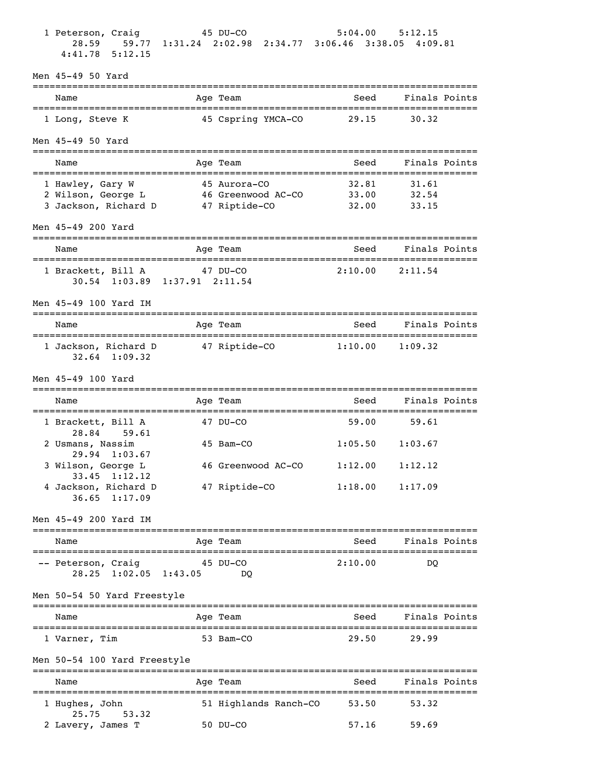| 1 Peterson, Craig<br>28.59<br>$4:41.78$ 5:12.15              | $45$ DU-CO | 59.77 1:31.24 2:02.98 2:34.77 3:06.46 3:38.05 4:09.81 |                                      | $5:04.00$ $5:12.15$ |  |
|--------------------------------------------------------------|------------|-------------------------------------------------------|--------------------------------------|---------------------|--|
| Men 45-49 50 Yard                                            |            |                                                       |                                      |                     |  |
| Name                                                         |            | Age Team                                              | __________________________<br>Seed   | Finals Points       |  |
| 1 Long, Steve K                                              |            | 45 Cspring YMCA-CO                                    | 29.15                                | 30.32               |  |
| Men 45-49 50 Yard                                            |            |                                                       |                                      |                     |  |
| Name                                                         |            | Age Team                                              | Seed                                 | Finals Points       |  |
| 1 Hawley, Gary W                                             |            | 45 Aurora-CO                                          | 32.81                                | 31.61               |  |
| 2 Wilson, George L<br>3 Jackson, Richard D                   |            | 46 Greenwood AC-CO<br>47 Riptide-CO                   | 33.00<br>32.00                       | 32.54<br>33.15      |  |
| Men 45-49 200 Yard                                           |            |                                                       |                                      |                     |  |
| Name                                                         |            | Age Team                                              | Seed                                 | Finals Points       |  |
| 1 Brackett, Bill A 47 DU-CO<br>30.54 1:03.89 1:37.91 2:11.54 |            |                                                       |                                      | $2:10.00$ $2:11.54$ |  |
| Men 45-49 100 Yard IM                                        |            |                                                       |                                      |                     |  |
| Name                                                         |            | Age Team<br>-----------                               | Seed<br>============================ | Finals Points       |  |
| 1 Jackson, Richard D<br>$32.64$ 1:09.32                      |            | 47 Riptide-CO 1:10.00                                 |                                      | 1:09.32             |  |
| Men 45-49 100 Yard                                           |            |                                                       |                                      |                     |  |
| Name                                                         |            | Age Team                                              | Seed                                 | Finals Points       |  |
| 1 Brackett, Bill A<br>28.84<br>59.61                         |            | 47 DU-CO                                              | 59.00                                | 59.61               |  |
| 2 Usmans, Nassim<br>29.94 1:03.67                            |            | 45 Bam-CO                                             |                                      | $1:05.50$ $1:03.67$ |  |
| 3 Wilson, George L<br>$33.45$ $1:12.12$                      |            | 46 Greenwood AC-CO                                    | $1:12.00$ $1:12.12$                  |                     |  |
| 4 Jackson, Richard D<br>$36.65$ 1:17.09                      |            | 47 Riptide-CO                                         | 1:18.00                              | 1:17.09             |  |
| Men 45-49 200 Yard IM                                        |            |                                                       |                                      |                     |  |
| Name                                                         |            | Age Team                                              |                                      | Seed Finals Points  |  |
| -- Peterson, Craig<br>28.25 1:02.05 1:43.05                  | 45 DU-CO   | DO.                                                   | 2:10.00                              | DO                  |  |
| Men 50-54 50 Yard Freestyle                                  |            |                                                       |                                      |                     |  |
| Name                                                         |            | Age Team                                              | Seed                                 | Finals Points       |  |
| 1 Varner, Tim                                                |            | 53 Bam-CO                                             | 29.50                                | 29.99               |  |
| Men 50-54 100 Yard Freestyle                                 |            |                                                       |                                      |                     |  |
| Name                                                         |            | Age Team                                              | Seed                                 | Finals Points       |  |
| 1 Hughes, John                                               |            | 51 Highlands Ranch-CO                                 | 53.50                                | 53.32               |  |
| 25.75<br>53.32<br>2 Lavery, James T                          |            | 50 DU-CO                                              | 57.16                                | 59.69               |  |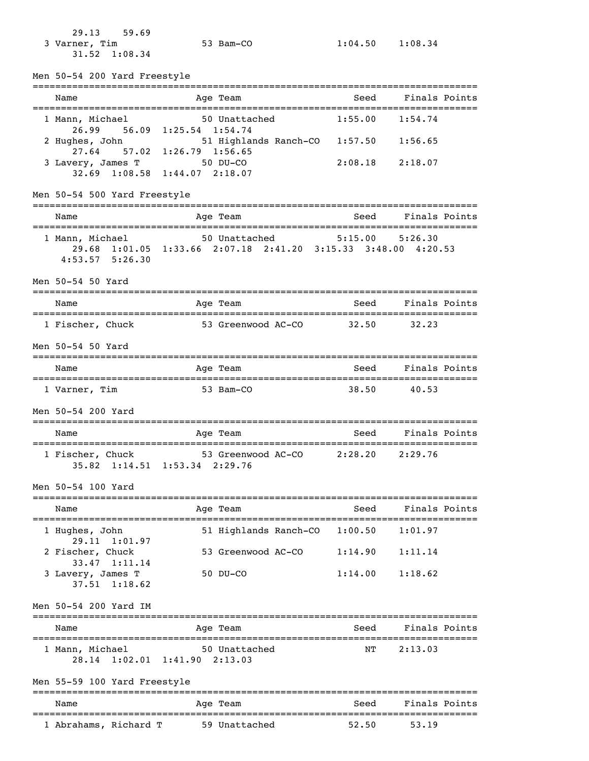29.13 59.69 3 Varner, Tim 53 Bam-CO 1:04.50 1:08.34 31.52 1:08.34

Men 50-54 200 Yard Freestyle

=============================================================================== Name Mage Team Age Team Seed Finals Points =============================================================================== 1 Mann, Michael 50 Unattached 1:55.00 1:54.74 26.99 56.09 1:25.54 1:54.74 2 Hughes, John 51 Highlands Ranch-CO 1:57.50 1:56.65 27.64 57.02 1:26.79 1:56.65 3 Lavery, James T 50 DU-CO 2:08.18 2:18.07 32.69 1:08.58 1:44.07 2:18.07 Men 50-54 500 Yard Freestyle =============================================================================== Name Age Team Seed Finals Points =============================================================================== 1 Mann, Michael 50 Unattached 5:15.00 5:26.30 29.68 1:01.05 1:33.66 2:07.18 2:41.20 3:15.33 3:48.00 4:20.53 4:53.57 5:26.30 Men 50-54 50 Yard =============================================================================== Name and Age Team Seed Finals Points =============================================================================== 1 Fischer, Chuck 53 Greenwood AC-CO 32.50 32.23 Men 50-54 50 Yard =============================================================================== Name and Age Team Seed Finals Points =============================================================================== 1 Varner, Tim 53 Bam-CO 38.50 40.53 Men 50-54 200 Yard =============================================================================== Name and Age Team and Seed Finals Points =============================================================================== 1 Fischer, Chuck 53 Greenwood AC-CO 2:28.20 2:29.76 35.82 1:14.51 1:53.34 2:29.76 Men 50-54 100 Yard =============================================================================== Age Team Seed Finals Points =============================================================================== 1 Hughes, John 51 Highlands Ranch-CO 1:00.50 1:01.97 29.11 1:01.97<br>2 Fischer, Chuck 53 Greenwood AC-CO 1:14.90 1:11.14 33.47 1:11.14 3 Lavery, James T 50 DU-CO 1:14.00 1:18.62 37.51 1:18.62 Men 50-54 200 Yard IM =============================================================================== Name Mage Team Age Team Seed Finals Points =============================================================================== 1 Mann, Michael 50 Unattached 28.14 1:02.01 1:41.90 2:13.03 Men 55-59 100 Yard Freestyle ===============================================================================

| Name                  |  | Age Team      | Seed  | Finals Points |
|-----------------------|--|---------------|-------|---------------|
| 1 Abrahams, Richard T |  | 59 Unattached | 52.50 | 53.19         |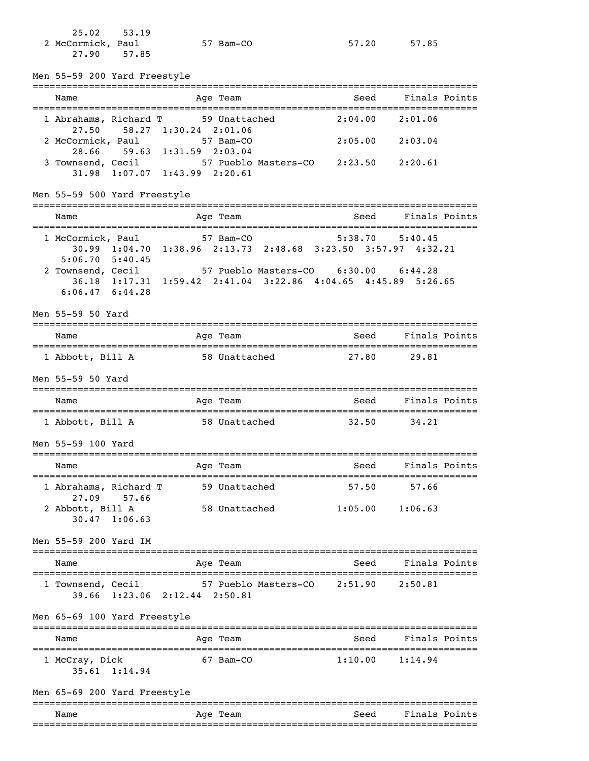| $25.02$ $53.19$   |           |       |       |
|-------------------|-----------|-------|-------|
| 2 McCormick, Paul | 57 Bam-CO | 57.20 | 57.85 |
| 27.90 57.85       |           |       |       |

Men 55-59 200 Yard Freestyle

| Men 55-59 200 raid rieestyle                                                                                                                                          |                               |  |               |                                                               |                |      |                    |  |
|-----------------------------------------------------------------------------------------------------------------------------------------------------------------------|-------------------------------|--|---------------|---------------------------------------------------------------|----------------|------|--------------------|--|
| Name                                                                                                                                                                  |                               |  | Age Team      |                                                               |                | Seed | Finals Points      |  |
| 1 Abrahams, Richard T<br>27.50                                                                                                                                        | 58.27 1:30.24 2:01.06         |  | 59 Unattached |                                                               | 2:04.00        |      | 2:01.06            |  |
| 2 McCormick, Paul 57 Bam-CO                                                                                                                                           | 28.66 59.63 1:31.59 2:03.04   |  |               |                                                               | 2:05.00        |      | 2:03.04            |  |
| 3 Townsend, Cecil 57 Pueblo Masters-CO 2:23.50 2:20.61<br>31.98 1:07.07 1:43.99 2:20.61                                                                               |                               |  |               |                                                               |                |      |                    |  |
| Men 55-59 500 Yard Freestyle                                                                                                                                          |                               |  |               |                                                               |                |      |                    |  |
| Name                                                                                                                                                                  |                               |  | Age Team      |                                                               | Seed           |      | Finals Points      |  |
| 1 McCormick, Paul 57 Bam-CO 5:38.70 5:40.45                                                                                                                           |                               |  |               | 30.99 1:04.70 1:38.96 2:13.73 2:48.68 3:23.50 3:57.97 4:32.21 |                |      |                    |  |
| $5:06.70$ $5:40.45$<br>2 Townsend, Cecil 57 Pueblo Masters-CO 6:30.00 6:44.28<br>36.18 1:17.31 1:59.42 2:41.04 3:22.86 4:04.65 4:45.89 5:26.65<br>$6:06.47$ $6:44.28$ |                               |  |               |                                                               |                |      |                    |  |
| Men 55-59 50 Yard                                                                                                                                                     |                               |  |               |                                                               |                |      |                    |  |
| Name                                                                                                                                                                  |                               |  | Age Team      |                                                               |                | Seed | Finals Points      |  |
| 1 Abbott, Bill A 58 Unattached 27.80 29.81                                                                                                                            |                               |  |               |                                                               |                |      |                    |  |
| Men 55-59 50 Yard                                                                                                                                                     |                               |  |               |                                                               |                |      |                    |  |
| Name                                                                                                                                                                  |                               |  | Age Team      |                                                               |                |      | Seed Finals Points |  |
| 1 Abbott, Bill A 58 Unattached 32.50                                                                                                                                  |                               |  |               |                                                               |                |      | 34.21              |  |
| Men 55-59 100 Yard                                                                                                                                                    |                               |  |               |                                                               |                |      |                    |  |
| Name                                                                                                                                                                  |                               |  | Age Team      |                                                               |                | Seed | Finals Points      |  |
| 1 Abrahams, Richard T                                                                                                                                                 | 27.09 57.66                   |  |               | 59 Unattached 57.50 57.66                                     |                |      |                    |  |
| 2 Abbott, Bill A                                                                                                                                                      | $30.47$ 1:06.63               |  |               | 58 Unattached 1:05.00 1:06.63                                 |                |      |                    |  |
| Men 55-59 200 Yard IM                                                                                                                                                 |                               |  |               |                                                               |                |      |                    |  |
| Name                                                                                                                                                                  |                               |  | Age Team      |                                                               |                | Seed | Finals Points      |  |
| 1 Townsend, Cecil                                                                                                                                                     | 39.66 1:23.06 2:12.44 2:50.81 |  |               | 57 Pueblo Masters-CO                                          | 2:51.90        |      | 2:50.81            |  |
| Men 65-69 100 Yard Freestyle                                                                                                                                          |                               |  | ===========   |                                                               | -------------- |      |                    |  |
| Name                                                                                                                                                                  |                               |  | Age Team      |                                                               |                | Seed | Finals Points      |  |
| 1 McCray, Dick                                                                                                                                                        | 35.61 1:14.94                 |  | 67 Bam-CO     |                                                               | 1:10.00        |      | 1:14.94            |  |
| Men 65-69 200 Yard Freestyle                                                                                                                                          |                               |  |               |                                                               |                |      |                    |  |
| Name                                                                                                                                                                  |                               |  | Age Team      |                                                               |                | Seed | Finals Points      |  |

===============================================================================